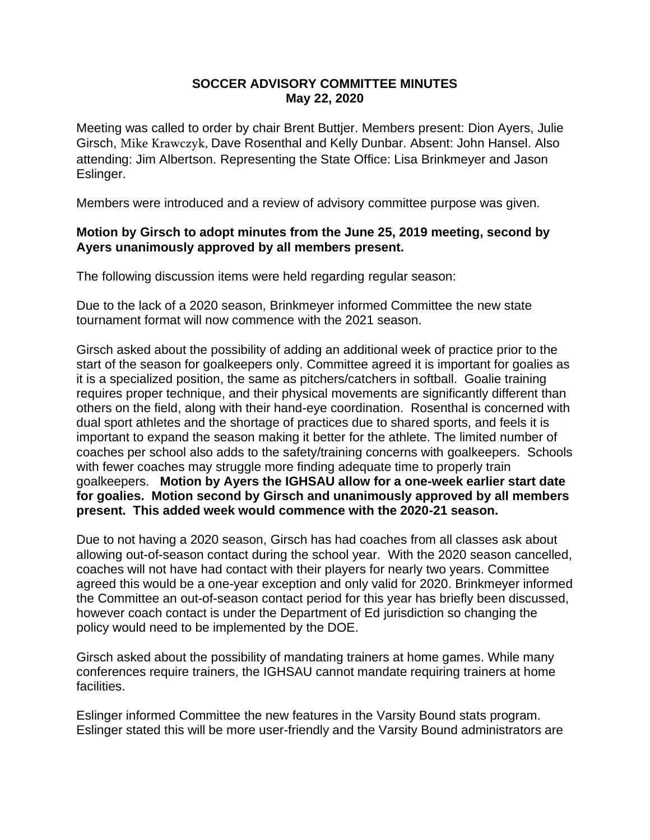## **SOCCER ADVISORY COMMITTEE MINUTES May 22, 2020**

Meeting was called to order by chair Brent Buttjer. Members present: Dion Ayers, Julie Girsch, Mike Krawczyk, Dave Rosenthal and Kelly Dunbar. Absent: John Hansel. Also attending: Jim Albertson. Representing the State Office: Lisa Brinkmeyer and Jason Eslinger.

Members were introduced and a review of advisory committee purpose was given.

## **Motion by Girsch to adopt minutes from the June 25, 2019 meeting, second by Ayers unanimously approved by all members present.**

The following discussion items were held regarding regular season:

Due to the lack of a 2020 season, Brinkmeyer informed Committee the new state tournament format will now commence with the 2021 season.

Girsch asked about the possibility of adding an additional week of practice prior to the start of the season for goalkeepers only. Committee agreed it is important for goalies as it is a specialized position, the same as pitchers/catchers in softball. Goalie training requires proper technique, and their physical movements are significantly different than others on the field, along with their hand-eye coordination. Rosenthal is concerned with dual sport athletes and the shortage of practices due to shared sports, and feels it is important to expand the season making it better for the athlete. The limited number of coaches per school also adds to the safety/training concerns with goalkeepers. Schools with fewer coaches may struggle more finding adequate time to properly train goalkeepers. **Motion by Ayers the IGHSAU allow for a one-week earlier start date for goalies. Motion second by Girsch and unanimously approved by all members present. This added week would commence with the 2020-21 season.** 

Due to not having a 2020 season, Girsch has had coaches from all classes ask about allowing out-of-season contact during the school year. With the 2020 season cancelled, coaches will not have had contact with their players for nearly two years. Committee agreed this would be a one-year exception and only valid for 2020. Brinkmeyer informed the Committee an out-of-season contact period for this year has briefly been discussed, however coach contact is under the Department of Ed jurisdiction so changing the policy would need to be implemented by the DOE.

Girsch asked about the possibility of mandating trainers at home games. While many conferences require trainers, the IGHSAU cannot mandate requiring trainers at home facilities.

Eslinger informed Committee the new features in the Varsity Bound stats program. Eslinger stated this will be more user-friendly and the Varsity Bound administrators are